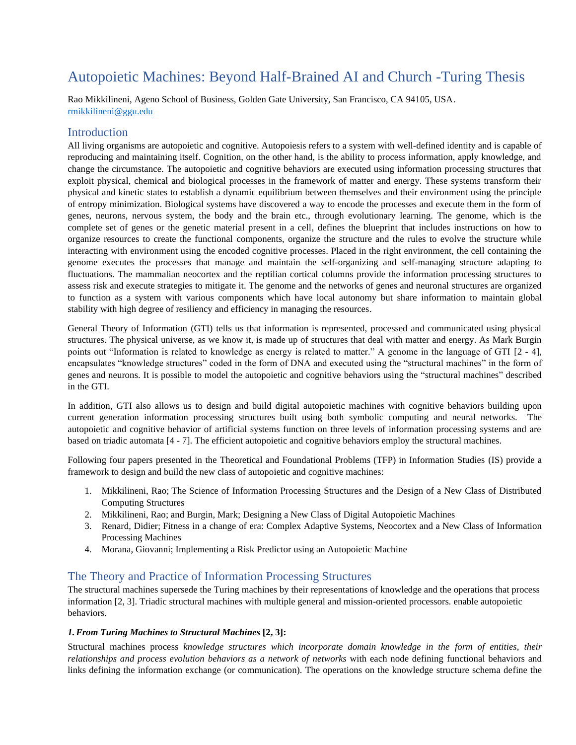# Autopoietic Machines: Beyond Half-Brained AI and Church -Turing Thesis

Rao Mikkilineni, Ageno School of Business, Golden Gate University, San Francisco, CA 94105, USA. [rmikkilineni@ggu.edu](mailto:rmikkilineni@ggu.edu)

# **Introduction**

All living organisms are autopoietic and cognitive. Autopoiesis refers to a system with well-defined identity and is capable of reproducing and maintaining itself. Cognition, on the other hand, is the ability to process information, apply knowledge, and change the circumstance. The autopoietic and cognitive behaviors are executed using information processing structures that exploit physical, chemical and biological processes in the framework of matter and energy. These systems transform their physical and kinetic states to establish a dynamic equilibrium between themselves and their environment using the principle of entropy minimization. Biological systems have discovered a way to encode the processes and execute them in the form of genes, neurons, nervous system, the body and the brain etc., through evolutionary learning. The genome, which is the complete set of genes or the genetic material present in a cell, defines the blueprint that includes instructions on how to organize resources to create the functional components, organize the structure and the rules to evolve the structure while interacting with environment using the encoded cognitive processes. Placed in the right environment, the cell containing the genome executes the processes that manage and maintain the self-organizing and self-managing structure adapting to fluctuations. The mammalian neocortex and the reptilian cortical columns provide the information processing structures to assess risk and execute strategies to mitigate it. The genome and the networks of genes and neuronal structures are organized to function as a system with various components which have local autonomy but share information to maintain global stability with high degree of resiliency and efficiency in managing the resources.

General Theory of Information (GTI) tells us that information is represented, processed and communicated using physical structures. The physical universe, as we know it, is made up of structures that deal with matter and energy. As Mark Burgin points out "Information is related to knowledge as energy is related to matter." A genome in the language of GTI [2 - 4], encapsulates "knowledge structures" coded in the form of DNA and executed using the "structural machines" in the form of genes and neurons. It is possible to model the autopoietic and cognitive behaviors using the "structural machines" described in the GTI.

In addition, GTI also allows us to design and build digital autopoietic machines with cognitive behaviors building upon current generation information processing structures built using both symbolic computing and neural networks. The autopoietic and cognitive behavior of artificial systems function on three levels of information processing systems and are based on triadic automata [4 - 7]. The efficient autopoietic and cognitive behaviors employ the structural machines.

Following four papers presented in the Theoretical and Foundational Problems (TFP) in Information Studies (IS) provide a framework to design and build the new class of autopoietic and cognitive machines:

- 1. Mikkilineni, Rao; The Science of Information Processing Structures and the Design of a New Class of Distributed Computing Structures
- 2. Mikkilineni, Rao; and Burgin, Mark; Designing a New Class of Digital Autopoietic Machines
- 3. Renard, Didier; Fitness in a change of era: Complex Adaptive Systems, Neocortex and a New Class of Information Processing Machines
- 4. Morana, Giovanni; Implementing a Risk Predictor using an Autopoietic Machine

# The Theory and Practice of Information Processing Structures

The structural machines supersede the Turing machines by their representations of knowledge and the operations that process information [2, 3]. Triadic structural machines with multiple general and mission-oriented processors. enable autopoietic behaviors.

## *1.From Turing Machines to Structural Machines* **[2, 3]:**

Structural machines process *knowledge structures which incorporate domain knowledge in the form of entities, their relationships and process evolution behaviors as a network of networks* with each node defining functional behaviors and links defining the information exchange (or communication). The operations on the knowledge structure schema define the